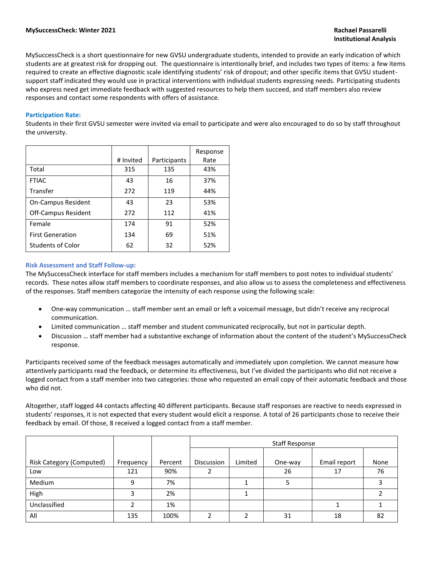MySuccessCheck is a short questionnaire for new GVSU undergraduate students, intended to provide an early indication of which students are at greatest risk for dropping out. The questionnaire is intentionally brief, and includes two types of items: a few items required to create an effective diagnostic scale identifying students' risk of dropout; and other specific items that GVSU studentsupport staff indicated they would use in practical interventions with individual students expressing needs. Participating students who express need get immediate feedback with suggested resources to help them succeed, and staff members also review responses and contact some respondents with offers of assistance.

### **Participation Rate:**

Students in their first GVSU semester were invited via email to participate and were also encouraged to do so by staff throughout the university.

|                           | # Invited | Participants | Response<br>Rate |
|---------------------------|-----------|--------------|------------------|
| Total                     | 315       | 135          | 43%              |
| <b>FTIAC</b>              | 43        | 16           | 37%              |
| Transfer                  | 272       | 119          | 44%              |
| <b>On-Campus Resident</b> | 43        | 23           | 53%              |
| Off-Campus Resident       | 272       | 112          | 41%              |
| Female                    | 174       | 91           | 52%              |
| <b>First Generation</b>   | 134       | 69           | 51%              |
| <b>Students of Color</b>  | 62        | 32           | 52%              |

#### **Risk Assessment and Staff Follow-up:**

The MySuccessCheck interface for staff members includes a mechanism for staff members to post notes to individual students' records. These notes allow staff members to coordinate responses, and also allow us to assess the completeness and effectiveness of the responses. Staff members categorize the intensity of each response using the following scale:

- One-way communication … staff member sent an email or left a voicemail message, but didn't receive any reciprocal communication.
- Limited communication … staff member and student communicated reciprocally, but not in particular depth.
- Discussion … staff member had a substantive exchange of information about the content of the student's MySuccessCheck response.

Participants received some of the feedback messages automatically and immediately upon completion. We cannot measure how attentively participants read the feedback, or determine its effectiveness, but I've divided the participants who did not receive a logged contact from a staff member into two categories: those who requested an email copy of their automatic feedback and those who did not.

Altogether, staff logged 44 contacts affecting 40 different participants. Because staff responses are reactive to needs expressed in students' responses, it is not expected that every student would elicit a response. A total of 26 participants chose to receive their feedback by email. Of those, 8 received a logged contact from a staff member.

|                                 |           |         | <b>Staff Response</b> |         |         |              |      |  |  |
|---------------------------------|-----------|---------|-----------------------|---------|---------|--------------|------|--|--|
| <b>Risk Category (Computed)</b> | Frequency | Percent | <b>Discussion</b>     | Limited | One-way | Email report | None |  |  |
| Low                             | 121       | 90%     |                       |         | 26      | 17           | 76   |  |  |
| Medium                          | 9         | 7%      |                       |         |         |              |      |  |  |
| High                            |           | 2%      |                       |         |         |              |      |  |  |
| Unclassified                    |           | 1%      |                       |         |         |              |      |  |  |
| All                             | 135       | 100%    | ∍                     |         | 31      | 18           | 82   |  |  |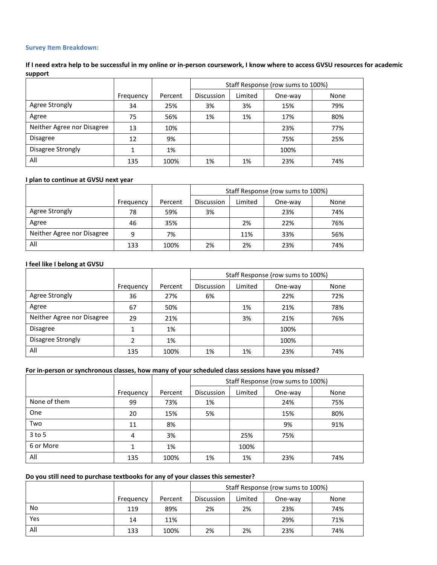# **Survey Item Breakdown:**

# **If I need extra help to be successful in my online or in-person coursework, I know where to access GVSU resources for academic support**

|                            |           |         | Staff Response (row sums to 100%) |         |         |      |  |
|----------------------------|-----------|---------|-----------------------------------|---------|---------|------|--|
|                            | Frequency | Percent | Discussion                        | Limited | One-way | None |  |
| Agree Strongly             | 34        | 25%     | 3%                                | 3%      | 15%     | 79%  |  |
| Agree                      | 75        | 56%     | 1%                                | 1%      | 17%     | 80%  |  |
| Neither Agree nor Disagree | 13        | 10%     |                                   |         | 23%     | 77%  |  |
| <b>Disagree</b>            | 12        | 9%      |                                   |         | 75%     | 25%  |  |
| Disagree Strongly          |           | 1%      |                                   |         | 100%    |      |  |
| All                        | 135       | 100%    | 1%                                | 1%      | 23%     | 74%  |  |

## **I plan to continue at GVSU next year**

|                            |           |         | Staff Response (row sums to 100%) |         |         |      |
|----------------------------|-----------|---------|-----------------------------------|---------|---------|------|
|                            | Frequency | Percent | Discussion                        | Limited | One-way | None |
| Agree Strongly             | 78        | 59%     | 3%                                |         | 23%     | 74%  |
| Agree                      | 46        | 35%     |                                   | 2%      | 22%     | 76%  |
| Neither Agree nor Disagree | q         | 7%      |                                   | 11%     | 33%     | 56%  |
| All                        | 133       | 100%    | 2%                                | 2%      | 23%     | 74%  |

#### **I feel like I belong at GVSU**

|                            |           |         | Staff Response (row sums to 100%) |         |         |      |  |
|----------------------------|-----------|---------|-----------------------------------|---------|---------|------|--|
|                            | Frequency | Percent | <b>Discussion</b>                 | Limited | One-way | None |  |
| Agree Strongly             | 36        | 27%     | 6%                                |         | 22%     | 72%  |  |
| Agree                      | 67        | 50%     |                                   | 1%      | 21%     | 78%  |  |
| Neither Agree nor Disagree | 29        | 21%     |                                   | 3%      | 21%     | 76%  |  |
| <b>Disagree</b>            |           | 1%      |                                   |         | 100%    |      |  |
| Disagree Strongly          | າ         | 1%      |                                   |         | 100%    |      |  |
| All                        | 135       | 100%    | 1%                                | 1%      | 23%     | 74%  |  |

# **For in-person or synchronous classes, how many of your scheduled class sessions have you missed?**

|              |           |         | Staff Response (row sums to 100%) |         |         |      |  |
|--------------|-----------|---------|-----------------------------------|---------|---------|------|--|
|              | Frequency | Percent | Discussion                        | Limited | One-way | None |  |
| None of them | 99        | 73%     | 1%                                |         | 24%     | 75%  |  |
| One          | 20        | 15%     | 5%                                |         | 15%     | 80%  |  |
| Two          | 11        | 8%      |                                   |         | 9%      | 91%  |  |
| $3$ to 5     | 4         | 3%      |                                   | 25%     | 75%     |      |  |
| 6 or More    |           | 1%      |                                   | 100%    |         |      |  |
| All          | 135       | 100%    | 1%                                | 1%      | 23%     | 74%  |  |

## **Do you still need to purchase textbooks for any of your classes this semester?**

|           |           |         |                   | Staff Response (row sums to 100%) |         |      |  |
|-----------|-----------|---------|-------------------|-----------------------------------|---------|------|--|
|           | Frequency | Percent | <b>Discussion</b> | Limited                           | One-way | None |  |
| <b>No</b> | 119       | 89%     | 2%                | 2%                                | 23%     | 74%  |  |
| Yes       | 14        | 11%     |                   |                                   | 29%     | 71%  |  |
| All       | 133       | 100%    | 2%                | 2%                                | 23%     | 74%  |  |